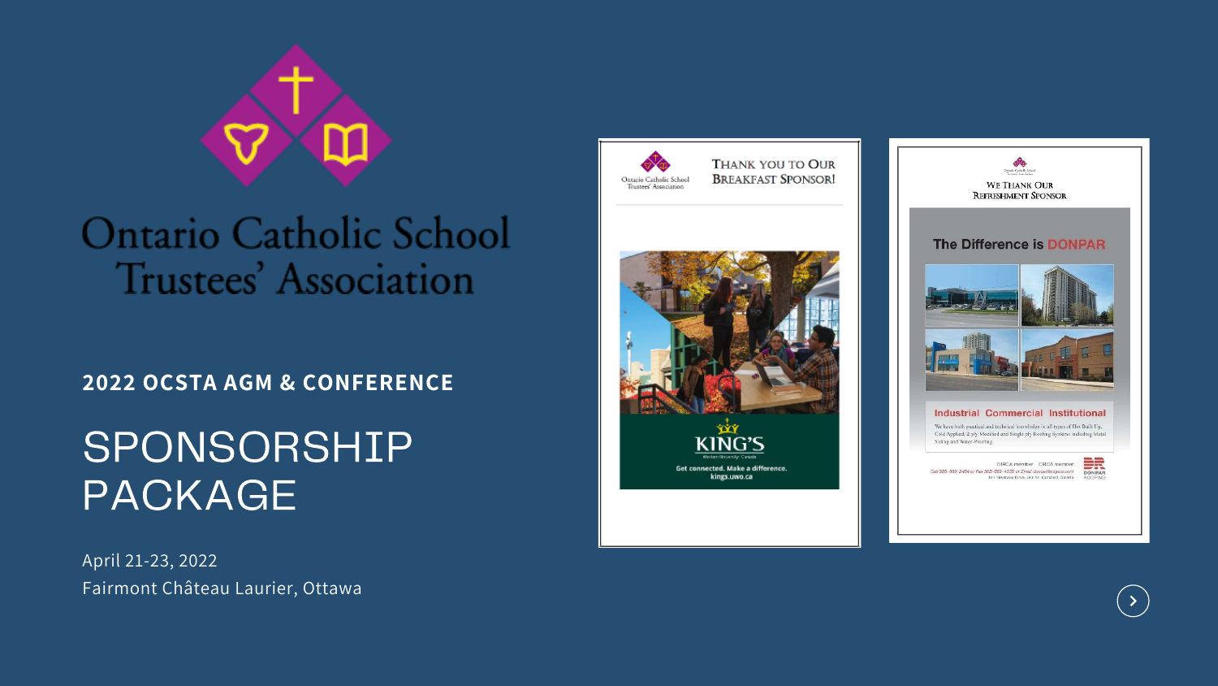

# Ontario Catholic School Trustees' Association

# **2022 OCSTA AGM & CONFERENCE**

# SPONSORSHIP PACKAGE

April 21-23, 2022 Fairmont Château Laurier, Ottawa







#### THANK YOU TO OUR **BREAKFAST SPONSOR!**



Call 995-659-2454 or Fax 905-660-4339 or Email doeper@rogers.com 101 Freehway Drive, Unit 64, Concord, Ontario



 $\langle$  >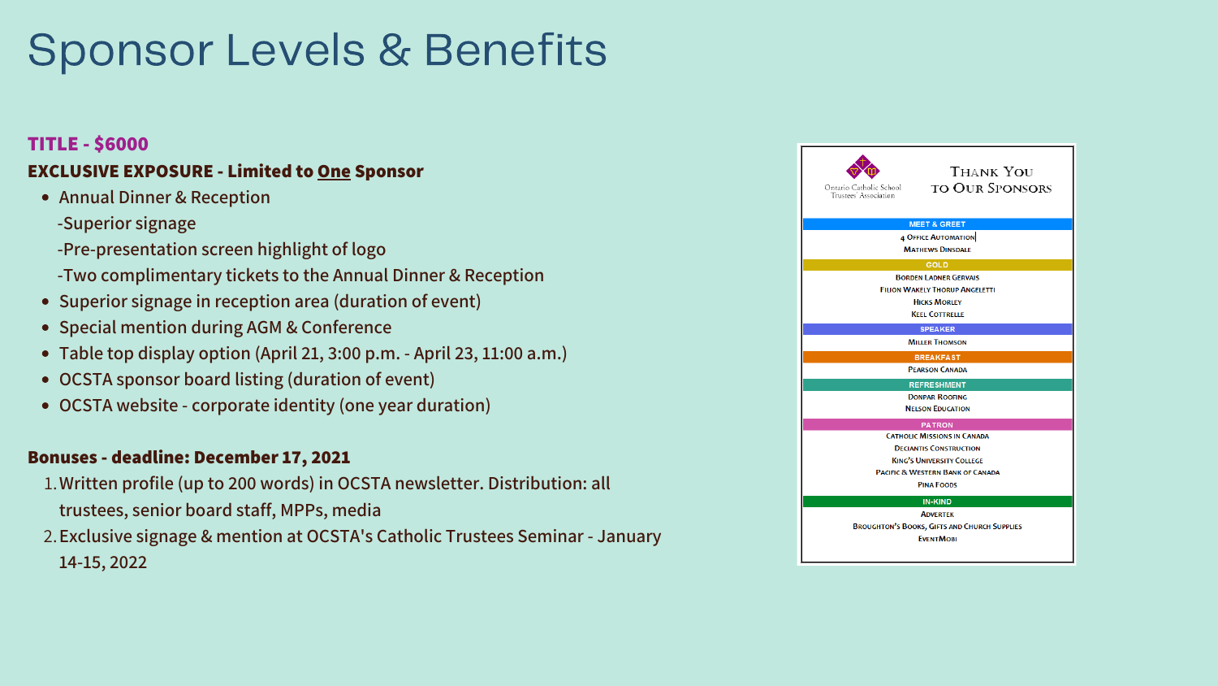- **Annual Dinner & Reception**
	- **-Superior signage**
	- **-Pre-presentation screen highlight of logo**
	- **-Two complimentary tickets to the Annual Dinner & Reception**
- **Superior signage in reception area (duration of event)**
- **Special mention during AGM & Conference**
- **Table top display option (April 21, 3:00 p.m. - April 23, 11:00 a.m.)**
- **OCSTA sponsor board listing (duration of event)**
- **OCSTA website - corporate identity (one year duration)**

- **Written profile (up to 200 words) in OCSTA newsletter. Distribution: all** 1. **trustees, senior board staff, MPPs, media**
- **Exclusive signage & mention at OCSTA's Catholic Trustees Seminar - January** 2. **14-15, 2022**



# **TITLE - \$6000 EXCLUSIVE EXPOSURE - Limited to One Sponsor**

### **Bonuses - deadline: December 17, 2021**

# Sponsor Levels & Benefits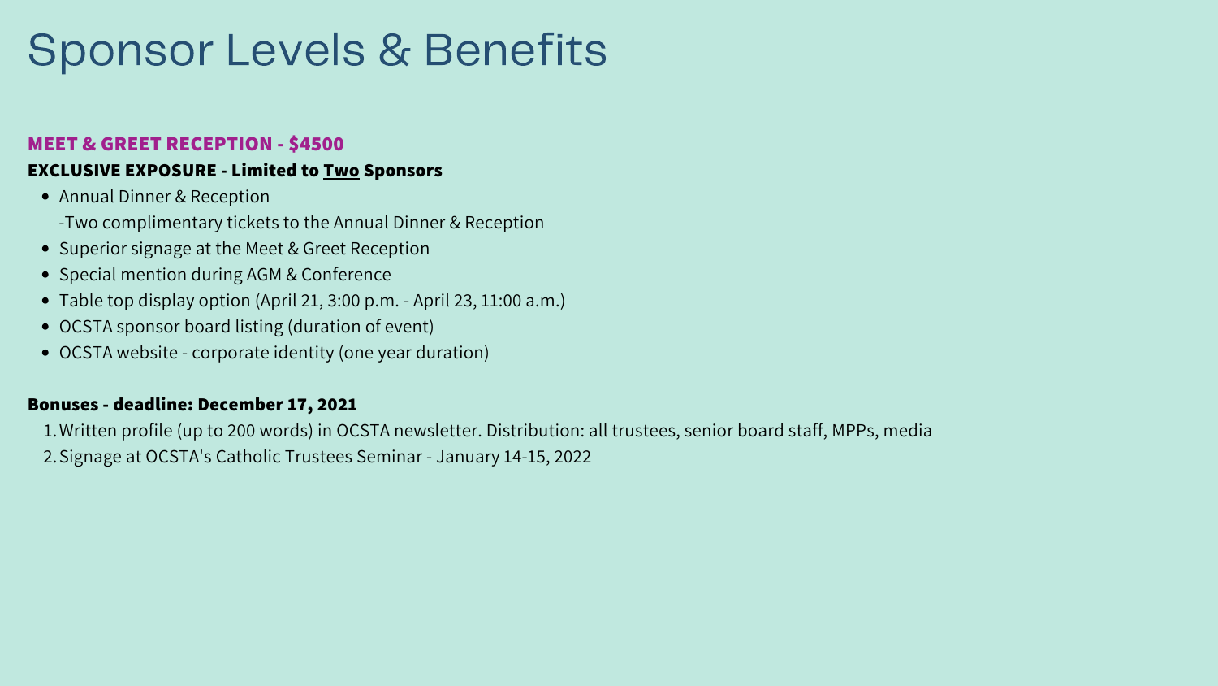- Annual Dinner & Reception
	- -Two complimentary tickets to the Annual Dinner & Reception
- Superior signage at the Meet & Greet Reception
- Special mention during AGM & Conference
- Table top display option (April 21, 3:00 p.m. April 23, 11:00 a.m.)
- OCSTA sponsor board listing (duration of event)
- OCSTA website corporate identity (one year duration)

- Written profile (up to 200 words) in OCSTA newsletter. Distribution: all trustees, senior board staff, MPPs, media 1.
- 2. Signage at OCSTA's Catholic Trustees Seminar January 14-15, 2022

### **MEET & GREET RECEPTION - \$4500**

### **EXCLUSIVE EXPOSURE - Limited to Two Sponsors**

#### **Bonuses - deadline: December 17, 2021**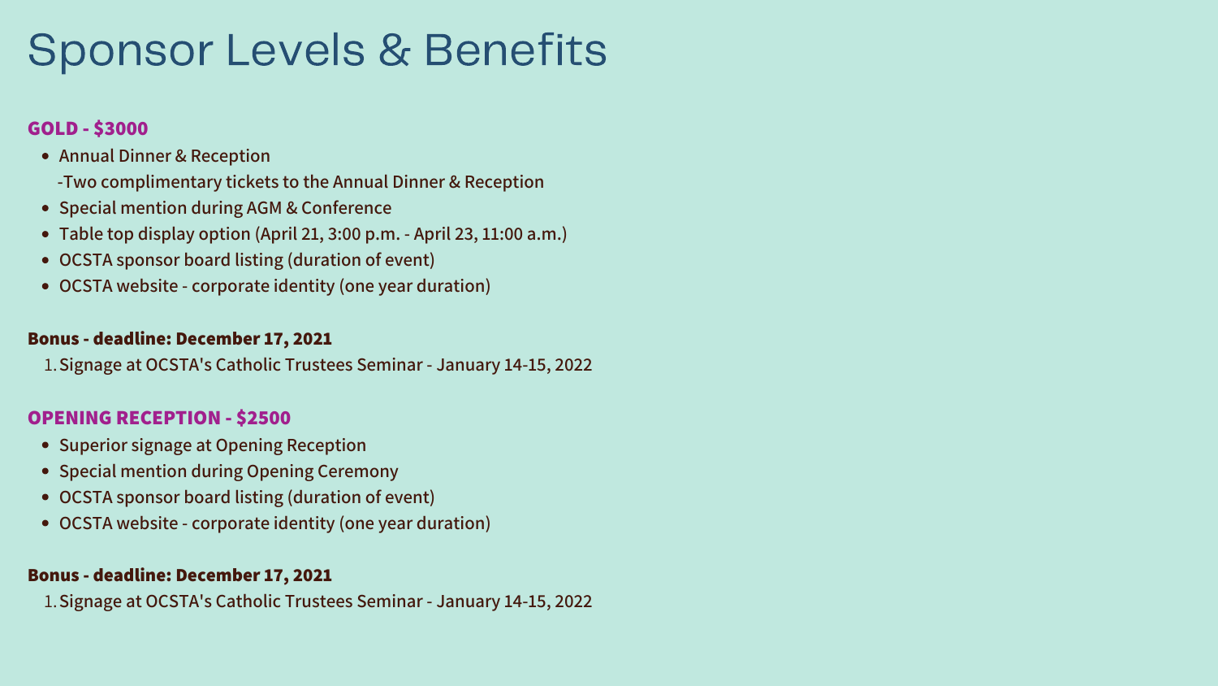- **Annual Dinner & Reception**
	- **-Two complimentary tickets to the Annual Dinner & Reception**
- **Special mention during AGM & Conference**
- **Table top display option (April 21, 3:00 p.m. - April 23, 11:00 a.m.)**
- **OCSTA sponsor board listing (duration of event)**
- **OCSTA website - corporate identity (one year duration)**

- **Superior signage at Opening Reception**
- **Special mention during Opening Ceremony**
- **OCSTA sponsor board listing (duration of event)**
- **OCSTA website - corporate identity (one year duration)**

**Signage at OCSTA's Catholic Trustees Seminar - January 14-15, 2022** 1.

# **GOLD - \$3000**

**Signage at OCSTA's Catholic Trustees Seminar - January 14-15, 2022** 1.

#### **Bonus - deadline: December 17, 2021**

#### **OPENING RECEPTION - \$2500**

#### **Bonus - deadline: December 17, 2021**

# Sponsor Levels & Benefits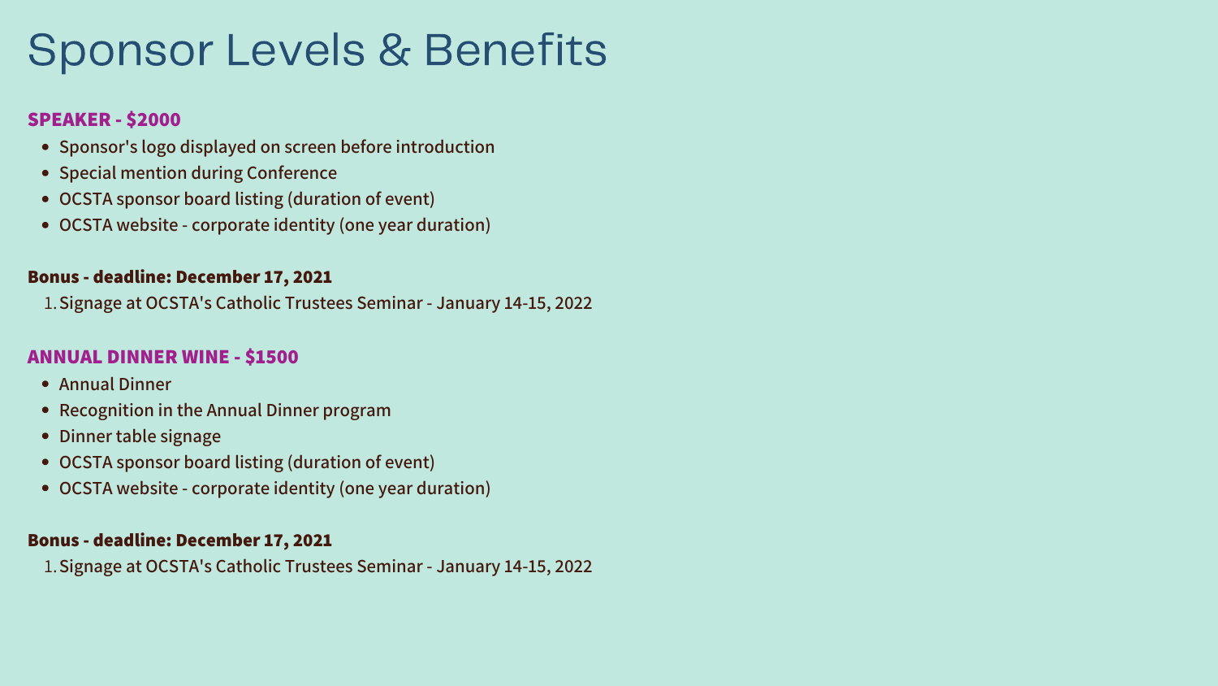- **Sponsor's logo displayed on screen before introduction**
- **Special mention during Conference**
- **OCSTA sponsor board listing (duration of event)**
- **OCSTA website - corporate identity (one year duration)**

- **Annual Dinner**
- **Recognition in the Annual Dinner program**
- **Dinner table signage**
- **OCSTA sponsor board listing (duration of event)**
- **OCSTA website - corporate identity (one year duration)**

**Signage at OCSTA's Catholic Trustees Seminar - January 14-15, 2022** 1.

# **SPEAKER - \$2000**

**Signage at OCSTA's Catholic Trustees Seminar - January 14-15, 2022** 1.

#### **Bonus - deadline: December 17, 2021**

### **ANNUAL DINNER WINE - \$1500**

### **Bonus - deadline: December 17, 2021**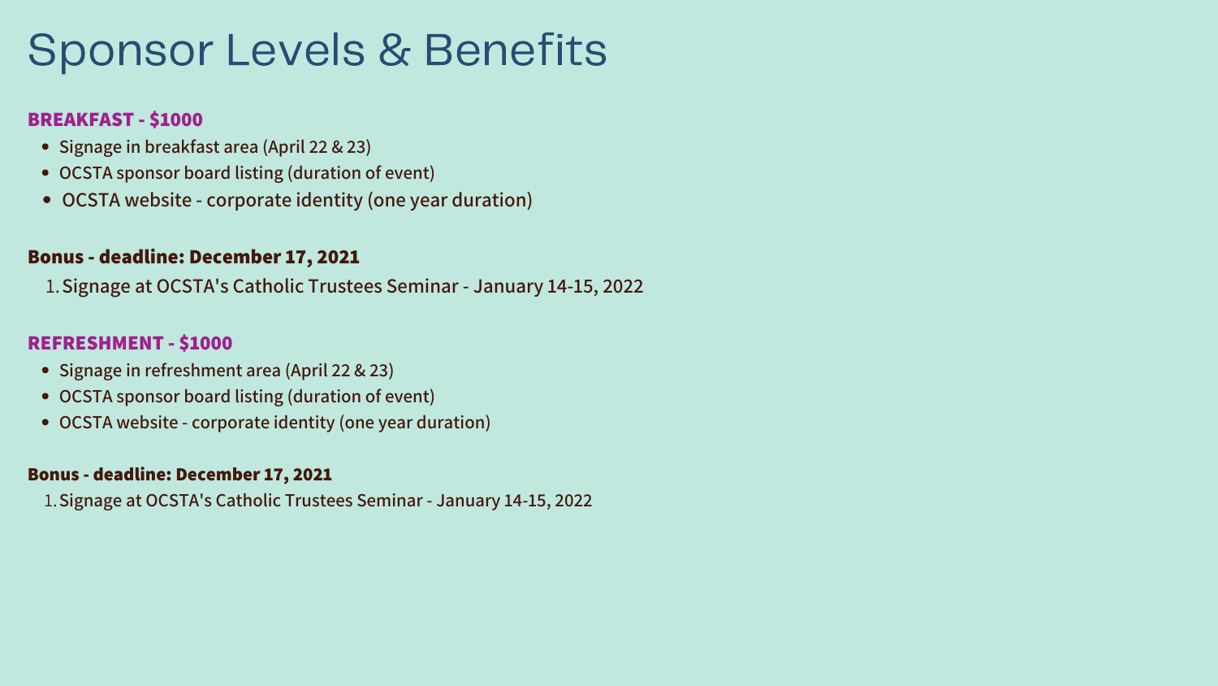- **Signage in breakfast area (April 22 & 23)**
- **OCSTA sponsor board listing (duration of event)**
- **OCSTA website - corporate identity (one year duration)**

- **Signage in refreshment area (April 22 & 23)**
- **OCSTA sponsor board listing (duration of event)**
- **OCSTA website - corporate identity (one year duration)**

**Signage at OCSTA's Catholic Trustees Seminar - January 14-15, 2022** 1.

## **BREAKFAST - \$1000**

**Signage at OCSTA's Catholic Trustees Seminar - January 14-15, 2022** 1.

### **Bonus - deadline: December 17, 2021**

### **REFRESHMENT - \$1000**

#### **Bonus - deadline: December 17, 2021**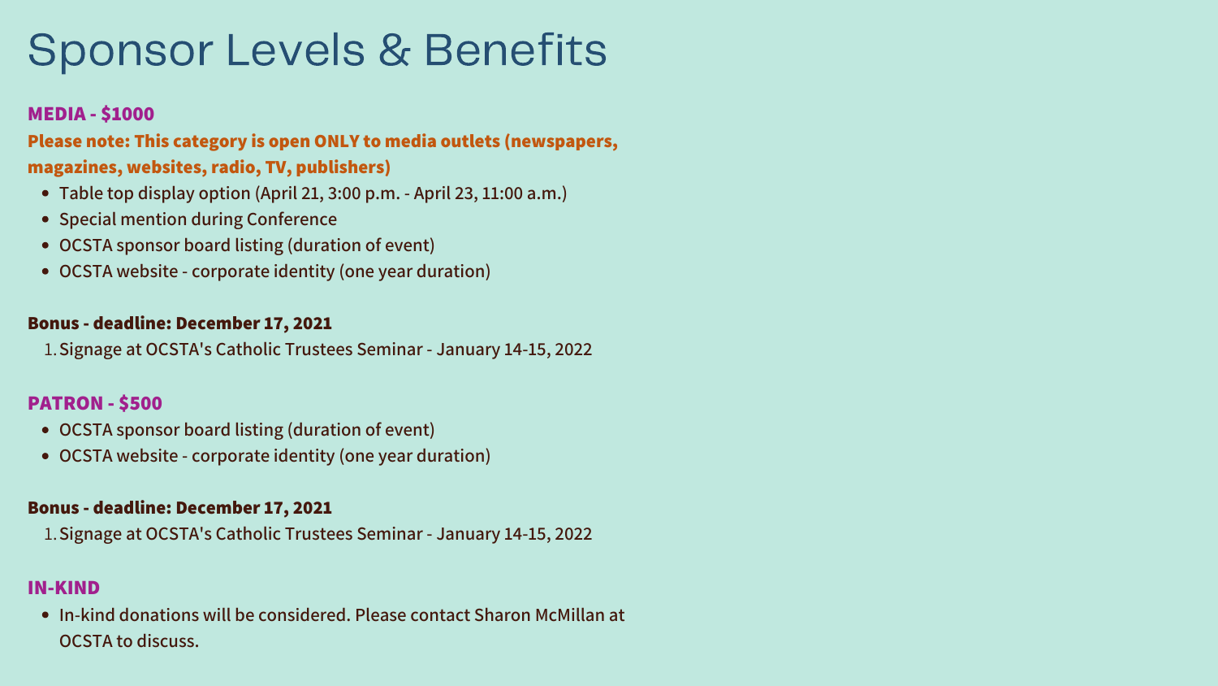- **Table top display option (April 21, 3:00 p.m. - April 23, 11:00 a.m.)**
- **Special mention during Conference**
- **OCSTA sponsor board listing (duration of event)**
- **OCSTA website - corporate identity (one year duration)**

- **OCSTA sponsor board listing (duration of event)**
- **OCSTA website - corporate identity (one year duration)**

**Signage at OCSTA's Catholic Trustees Seminar - January 14-15, 2022** 1.

**In-kind donations will be considered. Please contact Sharon McMillan at OCSTA to discuss.**

# **MEDIA - \$1000**

**Signage at OCSTA's Catholic Trustees Seminar - January 14-15, 2022** 1.

## **Please note: This category is open ONLY to media outlets (newspapers, magazines, websites, radio, TV, publishers)**

#### **Bonus - deadline: December 17, 2021**

### **PATRON - \$500**

#### **Bonus - deadline: December 17, 2021**

#### **IN-KIND**